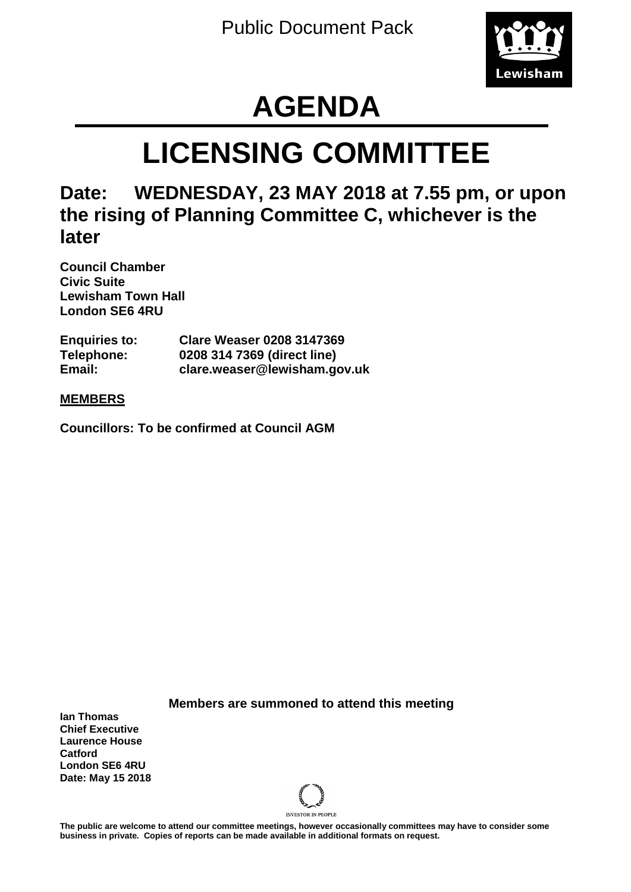

# **AGENDA**

# **LICENSING COMMITTEE**

# **Date: WEDNESDAY, 23 MAY 2018 at 7.55 pm, or upon the rising of Planning Committee C, whichever is the later**

**Council Chamber Civic Suite Lewisham Town Hall London SE6 4RU**

| <b>Enquiries to:</b> | <b>Clare Weaser 0208 3147369</b> |
|----------------------|----------------------------------|
| Telephone:           | 0208 314 7369 (direct line)      |
| Email:               | clare.weaser@lewisham.gov.uk     |

## **MEMBERS**

**Councillors: To be confirmed at Council AGM**

**Members are summoned to attend this meeting**

**Ian Thomas Chief Executive Laurence House Catford London SE6 4RU Date: May 15 2018**



**The public are welcome to attend our committee meetings, however occasionally committees may have to consider some business in private. Copies of reports can be made available in additional formats on request.**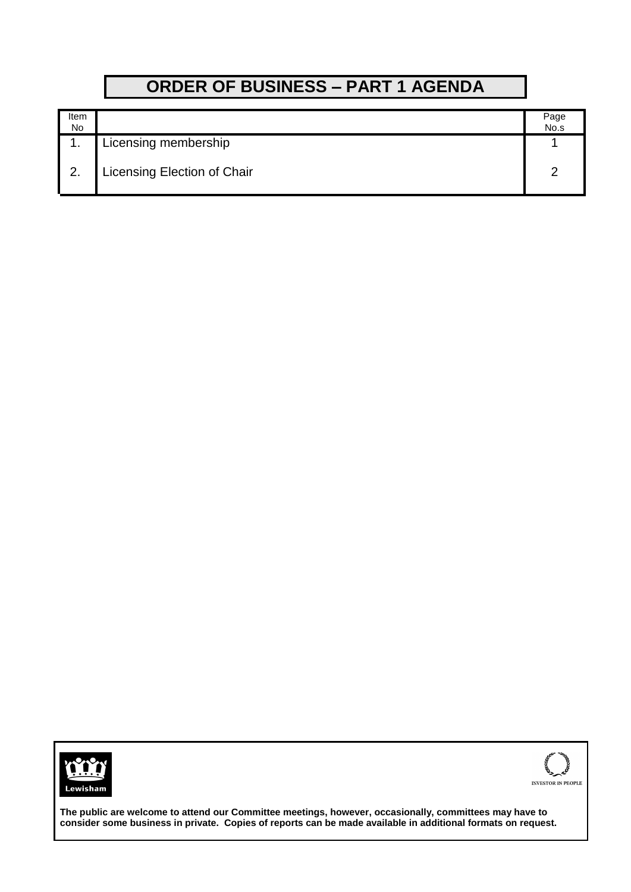# **ORDER OF BUSINESS – PART 1 AGENDA**

| Item<br>No |                             | Page<br>No.s |
|------------|-----------------------------|--------------|
|            | Licensing membership        |              |
| 2.         | Licensing Election of Chair |              |





**The public are welcome to attend our Committee meetings, however, occasionally, committees may have to consider some business in private. Copies of reports can be made available in additional formats on request.**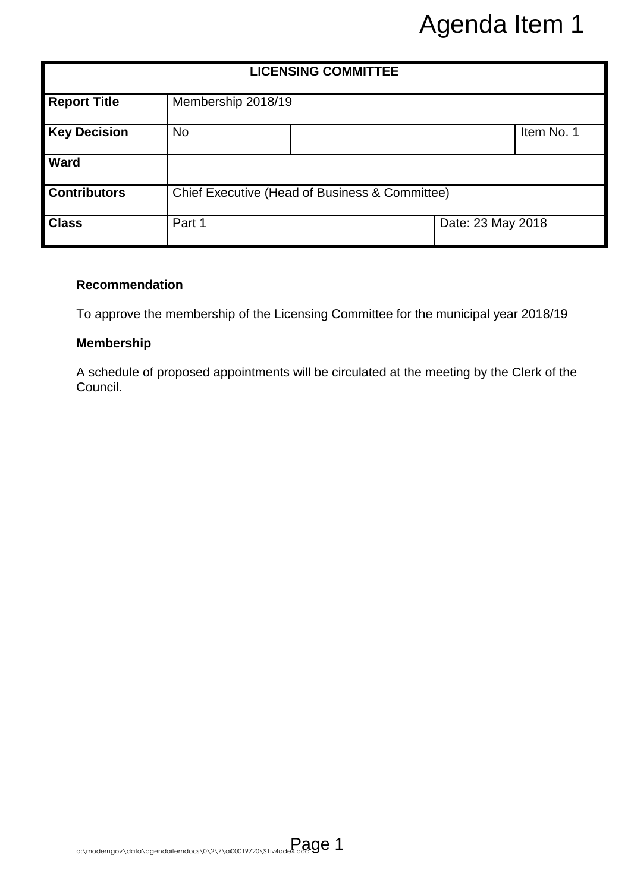|                                                        | Agenda Item 1 |                                                                               |                                                                                                                                                                                  |  |  |  |  |
|--------------------------------------------------------|---------------|-------------------------------------------------------------------------------|----------------------------------------------------------------------------------------------------------------------------------------------------------------------------------|--|--|--|--|
| <b>LICENSING COMMITTEE</b>                             |               |                                                                               |                                                                                                                                                                                  |  |  |  |  |
| <b>Report Title</b>                                    |               | Membership 2018/19                                                            |                                                                                                                                                                                  |  |  |  |  |
| <b>Key Decision</b>                                    | <b>No</b>     |                                                                               | Item No. 1                                                                                                                                                                       |  |  |  |  |
| <b>Ward</b>                                            |               |                                                                               |                                                                                                                                                                                  |  |  |  |  |
| <b>Contributors</b>                                    |               | Chief Executive (Head of Business & Committee)                                |                                                                                                                                                                                  |  |  |  |  |
| <b>Class</b>                                           | Part 1        |                                                                               | Date: 23 May 2018                                                                                                                                                                |  |  |  |  |
| <b>Recommendation</b><br><b>Membership</b><br>Council. |               |                                                                               | To approve the membership of the Licensing Committee for the municipal year 2018/19<br>A schedule of proposed appointments will be circulated at the meeting by the Clerk of the |  |  |  |  |
|                                                        |               | d:\moderngov\data\agendaitemdocs\0\2\7\ai00019720\\$1iv4dde4.doc900019720\\$1 |                                                                                                                                                                                  |  |  |  |  |

### **Recommendation**

## **Membership**